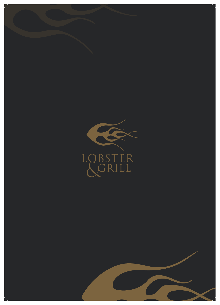